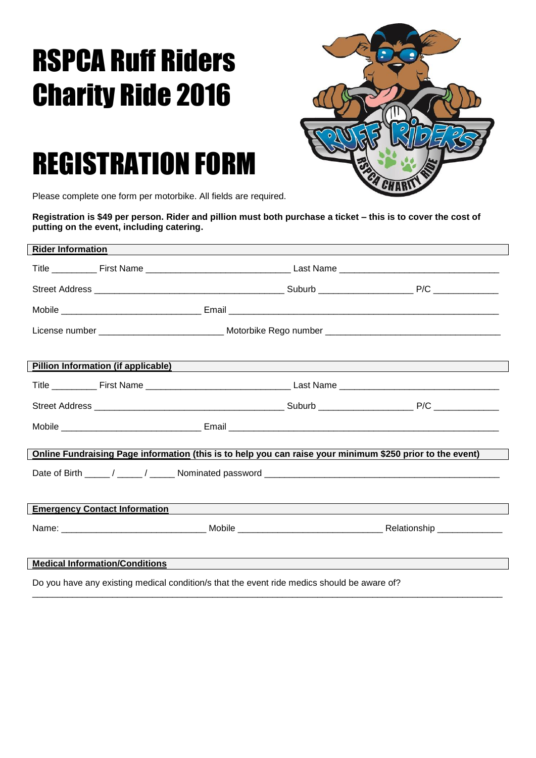## RSPCA Ruff Riders Charity Ride 2016



## REGISTRATION FORM

Please complete one form per motorbike. All fields are required.

**Registration is \$49 per person. Rider and pillion must both purchase a ticket – this is to cover the cost of putting on the event, including catering.** 

| <b>Rider Information</b>                                                                                                                                        |  |  |  |  |
|-----------------------------------------------------------------------------------------------------------------------------------------------------------------|--|--|--|--|
|                                                                                                                                                                 |  |  |  |  |
|                                                                                                                                                                 |  |  |  |  |
|                                                                                                                                                                 |  |  |  |  |
|                                                                                                                                                                 |  |  |  |  |
|                                                                                                                                                                 |  |  |  |  |
| Pillion Information (if applicable) Manual According to the Contract of the Contract of the Contract of the Co                                                  |  |  |  |  |
|                                                                                                                                                                 |  |  |  |  |
|                                                                                                                                                                 |  |  |  |  |
|                                                                                                                                                                 |  |  |  |  |
|                                                                                                                                                                 |  |  |  |  |
| Online Fundraising Page information (this is to help you can raise your minimum \$250 prior to the event)                                                       |  |  |  |  |
|                                                                                                                                                                 |  |  |  |  |
| <b>Emergency Contact Information</b>                                                                                                                            |  |  |  |  |
|                                                                                                                                                                 |  |  |  |  |
|                                                                                                                                                                 |  |  |  |  |
| <b>Medical Information/Conditions</b><br><u> 1989 - Andrea Santa Andrea Santa Andrea Santa Andrea Santa Andrea Santa Andrea Santa Andrea Santa Andrea Santa</u> |  |  |  |  |
| Do you have any existing medical condition/s that the event ride medics should be aware of?                                                                     |  |  |  |  |

\_\_\_\_\_\_\_\_\_\_\_\_\_\_\_\_\_\_\_\_\_\_\_\_\_\_\_\_\_\_\_\_\_\_\_\_\_\_\_\_\_\_\_\_\_\_\_\_\_\_\_\_\_\_\_\_\_\_\_\_\_\_\_\_\_\_\_\_\_\_\_\_\_\_\_\_\_\_\_\_\_\_\_\_\_\_\_\_\_\_\_\_\_\_